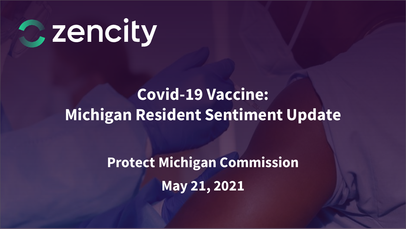

# **Covid-19 Vaccine: Michigan Resident Sentiment Update**

**Protect Michigan Commission May 21, 2021**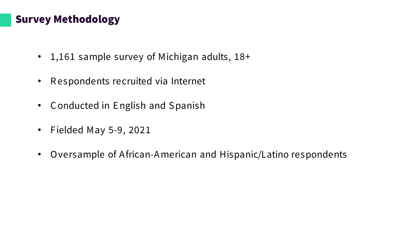### Survey Methodology

- 1,161 sample survey of Michigan adults, 18+
- R espondents recruited via Internet
- Conducted in English and Spanish
- Fielded May 5-9, 2021
- Oversample of A frican-A merican and Hispanic/Latino respondents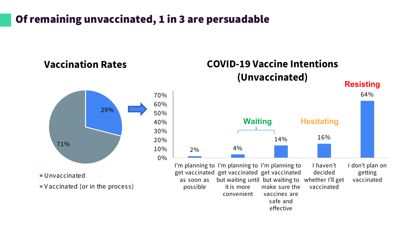# Of remaining unvaccinated, 1 in 3 are persuadable

### **Vaccination Rates**



Unvaccinated

V accinated (or in the process)

# **COVID-19 Vaccine Intentions (Unvaccinated)**

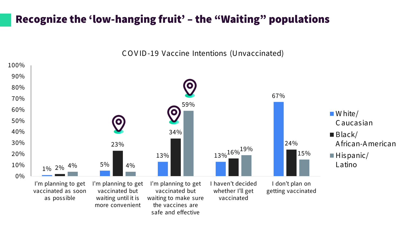# Recognize the 'low-hanging fruit' – the "Waiting" populations

C OV ID-19 Vaccine Intentions (Unvaccinated)

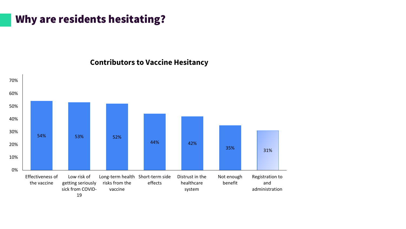# Why are residents hesitating?



#### **Contributors to Vaccine Hesitancy**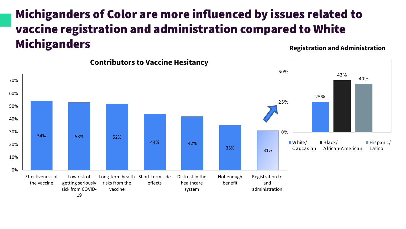# Michiganders of Color are more influenced by issues related to vaccine registration and administration compared to White Michiganders



**Registration and Administration**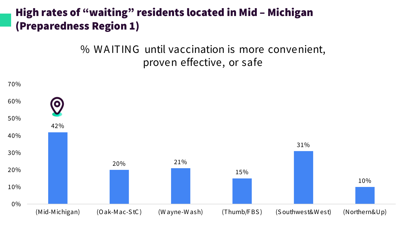# High rates of "waiting" residents located in Mid – Michigan (Preparedness Region 1)

% W A ITING until vaccination is more convenient, proven effective, or safe

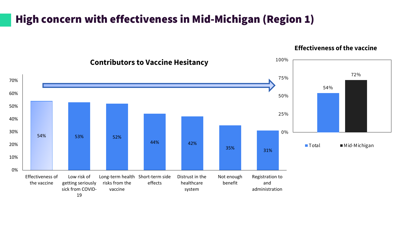# High concern with effectiveness in Mid-Michigan (Region 1)



#### **Effectiveness of the vaccine**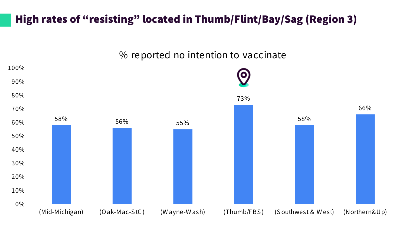# High rates of "resisting" located in Thumb/Flint/Bay/Sag (Region 3)

#### % reported no intention to vaccinate

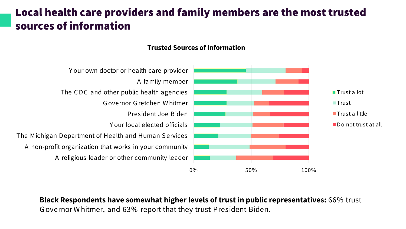# Local health care providers and family members are the most trusted sources of information

#### **Trusted Sources of Information**



**Black Respondents have somewhat higher levels of trust in public representatives:** 66% trust G overnor W hitmer, and 63% report that they trust President Biden.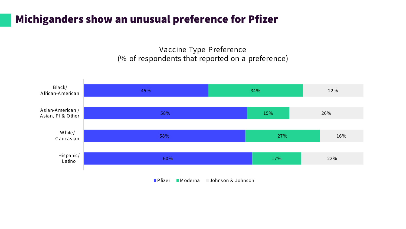### Michiganders show an unusual preference for Pfizer

Vaccine Type Preference (% of respondents that reported on a preference)



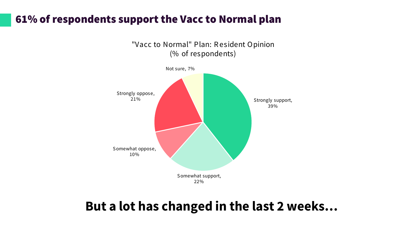### 61% of respondents support the Vacc to Normal plan



# **But a lot has changed in the last 2 weeks…**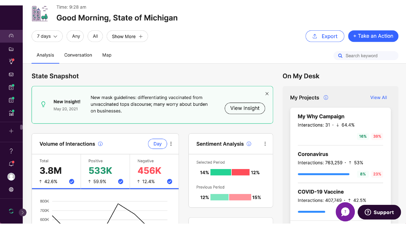

#### Time: 9:28 am **Good Morning, State of Michigan**

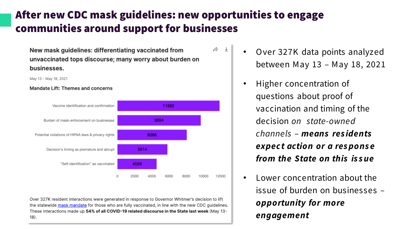# After new CDC mask guidelines: new opportunities to engage communities around support for businesses

Þ  $\downarrow$ 

New mask guidelines: differentiating vaccinated from unvaccinated tops discourse: many worry about burden on businesses.

May 13 - May 18, 2021

#### Mandate Lift: Themes and concerns



Over 327K resident interactions were generated in response to Governor Whitmer's decision to lift the statewide mask mandate for those who are fully vaccinated, in line with the new CDC quidelines. These interactions made up 54% of all COVID-19 related discourse in the State last week (May 13- $18)$ 

- O ver 327K data points analyzed between May 13 – May 18, 2021
	- Higher concentration of questions about proof of vaccination and timing of the decision *on state-owned channels* – *means res idents expec t action or a res pons e from the State on this is s ue*
- Lower concentration about the issue of burden on businesses – *opportunity for more engagement*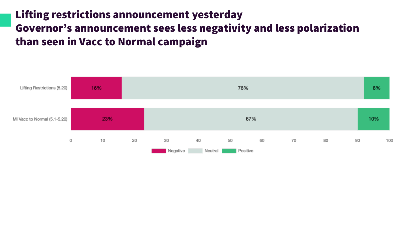# Lifting restrictions announcement yesterday Governor's announcement sees less negativity and less polarization than seen in Vacc to Normal campaign

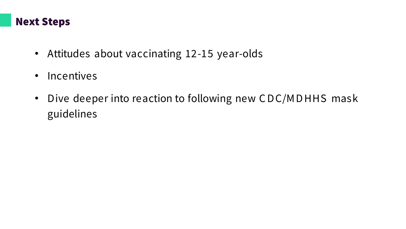### Next Steps

- Attitudes about vaccinating 12-15 year-olds
- Incentives
- Dive deeper into reaction to following new CDC/MDHHS mask guidelines